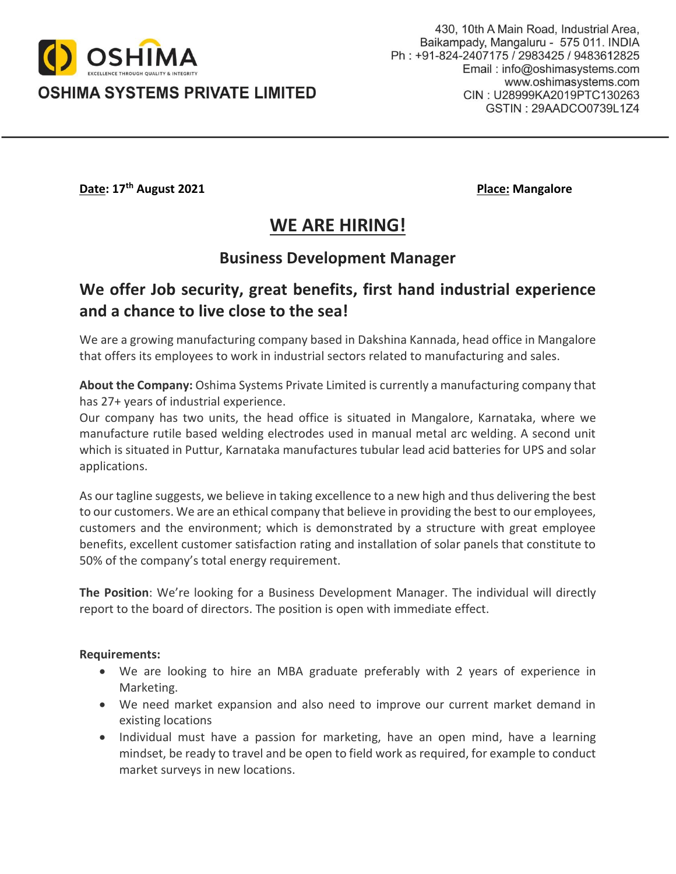

OSHIMA SYSTEMS PRIVATE LIMITED

**Date: 17<sup>th</sup> August 2021 Place: Mangalore Place: Mangalore** 

# **WE ARE HIRING!**

### **Business Development Manager**

## **We offer Job security, great benefits, first hand industrial experience and a chance to live close to the sea!**

We are a growing manufacturing company based in Dakshina Kannada, head office in Mangalore that offers its employees to work in industrial sectors related to manufacturing and sales.

**About the Company:** Oshima Systems Private Limited is currently a manufacturing company that has 27+ years of industrial experience.

Our company has two units, the head office is situated in Mangalore, Karnataka, where we manufacture rutile based welding electrodes used in manual metal arc welding. A second unit which is situated in Puttur, Karnataka manufactures tubular lead acid batteries for UPS and solar applications.

As our tagline suggests, we believe in taking excellence to a new high and thus delivering the best to our customers. We are an ethical company that believe in providing the best to our employees, customers and the environment; which is demonstrated by a structure with great employee benefits, excellent customer satisfaction rating and installation of solar panels that constitute to 50% of the company's total energy requirement.

**The Position**: We're looking for a Business Development Manager. The individual will directly report to the board of directors. The position is open with immediate effect.

#### **Requirements:**

- We are looking to hire an MBA graduate preferably with 2 years of experience in Marketing.
- We need market expansion and also need to improve our current market demand in existing locations
- Individual must have a passion for marketing, have an open mind, have a learning mindset, be ready to travel and be open to field work as required, for example to conduct market surveys in new locations.